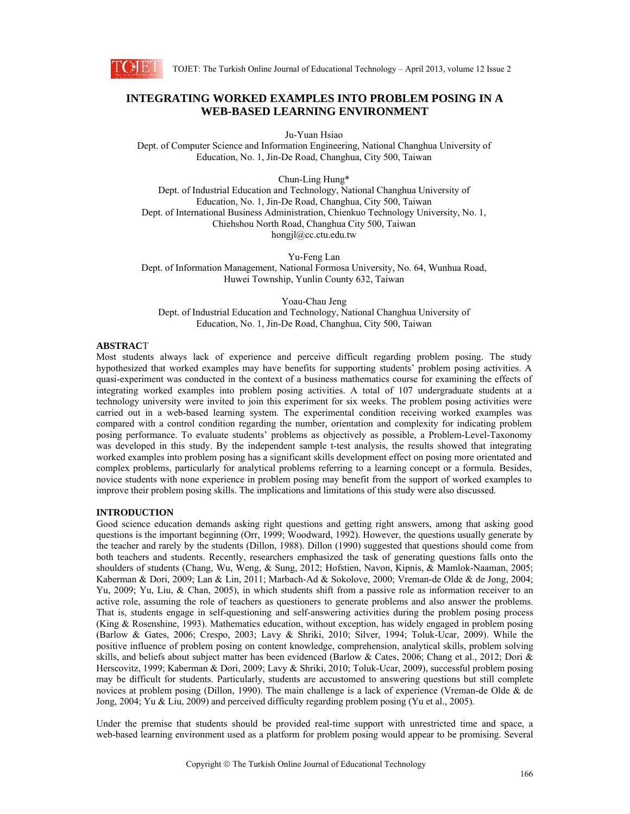

# **INTEGRATING WORKED EXAMPLES INTO PROBLEM POSING IN A WEB-BASED LEARNING ENVIRONMENT**

Ju-Yuan Hsiao

Dept. of Computer Science and Information Engineering, National Changhua University of Education, No. 1, Jin-De Road, Changhua, City 500, Taiwan

Chun-Ling Hung\*

Dept. of Industrial Education and Technology, National Changhua University of Education, No. 1, Jin-De Road, Changhua, City 500, Taiwan Dept. of International Business Administration, Chienkuo Technology University, No. 1, Chiehshou North Road, Changhua City 500, Taiwan hongjl@cc.ctu.edu.tw

Yu-Feng Lan Dept. of Information Management, National Formosa University, No. 64, Wunhua Road, Huwei Township, Yunlin County 632, Taiwan

Yoau-Chau Jeng Dept. of Industrial Education and Technology, National Changhua University of Education, No. 1, Jin-De Road, Changhua, City 500, Taiwan

# **ABSTRAC**T

Most students always lack of experience and perceive difficult regarding problem posing. The study hypothesized that worked examples may have benefits for supporting students' problem posing activities. A quasi-experiment was conducted in the context of a business mathematics course for examining the effects of integrating worked examples into problem posing activities. A total of 107 undergraduate students at a technology university were invited to join this experiment for six weeks. The problem posing activities were carried out in a web-based learning system. The experimental condition receiving worked examples was compared with a control condition regarding the number, orientation and complexity for indicating problem posing performance. To evaluate students' problems as objectively as possible, a Problem-Level-Taxonomy was developed in this study. By the independent sample t-test analysis, the results showed that integrating worked examples into problem posing has a significant skills development effect on posing more orientated and complex problems, particularly for analytical problems referring to a learning concept or a formula. Besides, novice students with none experience in problem posing may benefit from the support of worked examples to improve their problem posing skills. The implications and limitations of this study were also discussed.

# **INTRODUCTION**

Good science education demands asking right questions and getting right answers, among that asking good questions is the important beginning (Orr, 1999; Woodward, 1992). However, the questions usually generate by the teacher and rarely by the students (Dillon, 1988). Dillon (1990) suggested that questions should come from both teachers and students. Recently, researchers emphasized the task of generating questions falls onto the shoulders of students (Chang, Wu, Weng, & Sung, 2012; Hofstien, Navon, Kipnis, & Mamlok-Naaman, 2005; Kaberman & Dori, 2009; Lan & Lin, 2011; Marbach-Ad & Sokolove, 2000; Vreman-de Olde & de Jong, 2004; Yu, 2009; Yu, Liu, & Chan, 2005), in which students shift from a passive role as information receiver to an active role, assuming the role of teachers as questioners to generate problems and also answer the problems. That is, students engage in self-questioning and self-answering activities during the problem posing process (King & Rosenshine, 1993). Mathematics education, without exception, has widely engaged in problem posing (Barlow & Gates, 2006; Crespo, 2003; Lavy & Shriki, 2010; Silver, 1994; Toluk-Ucar, 2009). While the positive influence of problem posing on content knowledge, comprehension, analytical skills, problem solving skills, and beliefs about subject matter has been evidenced (Barlow & Cates, 2006; Chang et al., 2012; Dori & Herscovitz, 1999; Kaberman & Dori, 2009; Lavy & Shriki, 2010; Toluk-Ucar, 2009), successful problem posing may be difficult for students. Particularly, students are accustomed to answering questions but still complete novices at problem posing (Dillon, 1990). The main challenge is a lack of experience (Vreman-de Olde & de Jong, 2004; Yu & Liu, 2009) and perceived difficulty regarding problem posing (Yu et al., 2005).

Under the premise that students should be provided real-time support with unrestricted time and space, a web-based learning environment used as a platform for problem posing would appear to be promising. Several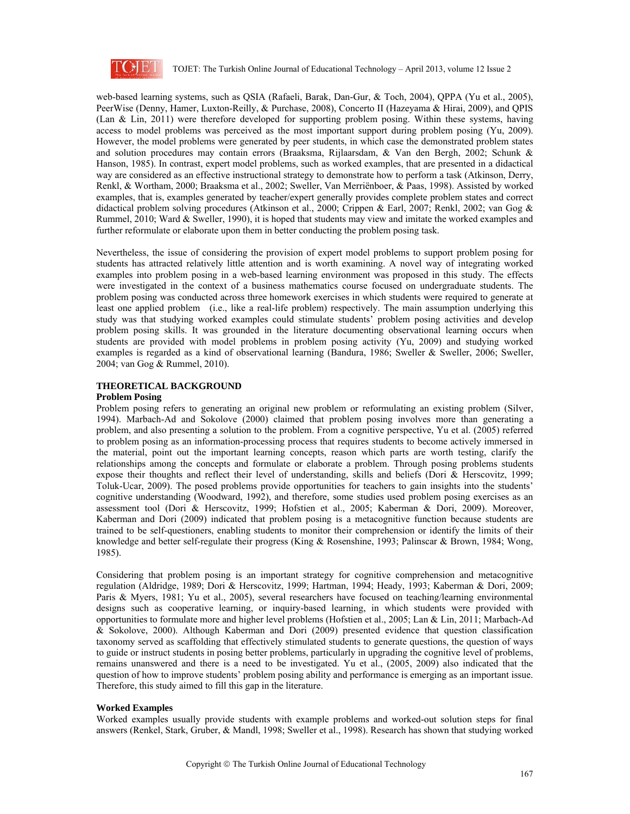

web-based learning systems, such as QSIA (Rafaeli, Barak, Dan-Gur, & Toch, 2004), QPPA (Yu et al., 2005), PeerWise (Denny, Hamer, Luxton-Reilly, & Purchase, 2008), Concerto II (Hazeyama & Hirai, 2009), and QPIS (Lan & Lin, 2011) were therefore developed for supporting problem posing. Within these systems, having access to model problems was perceived as the most important support during problem posing (Yu, 2009). However, the model problems were generated by peer students, in which case the demonstrated problem states and solution procedures may contain errors (Braaksma, Rijlaarsdam, & Van den Bergh, 2002; Schunk & Hanson, 1985). In contrast, expert model problems, such as worked examples, that are presented in a didactical way are considered as an effective instructional strategy to demonstrate how to perform a task (Atkinson, Derry, Renkl, & Wortham, 2000; Braaksma et al., 2002; Sweller, Van Merriënboer, & Paas, 1998). Assisted by worked examples, that is, examples generated by teacher/expert generally provides complete problem states and correct didactical problem solving procedures (Atkinson et al., 2000; Crippen & Earl, 2007; Renkl, 2002; van Gog & Rummel, 2010; Ward & Sweller, 1990), it is hoped that students may view and imitate the worked examples and further reformulate or elaborate upon them in better conducting the problem posing task.

Nevertheless, the issue of considering the provision of expert model problems to support problem posing for students has attracted relatively little attention and is worth examining. A novel way of integrating worked examples into problem posing in a web-based learning environment was proposed in this study. The effects were investigated in the context of a business mathematics course focused on undergraduate students. The problem posing was conducted across three homework exercises in which students were required to generate at least one applied problem (i.e., like a real-life problem) respectively. The main assumption underlying this study was that studying worked examples could stimulate students' problem posing activities and develop problem posing skills. It was grounded in the literature documenting observational learning occurs when students are provided with model problems in problem posing activity (Yu, 2009) and studying worked examples is regarded as a kind of observational learning (Bandura, 1986; Sweller & Sweller, 2006; Sweller, 2004; van Gog & Rummel, 2010).

# **THEORETICAL BACKGROUND**

#### **Problem Posing**

Problem posing refers to generating an original new problem or reformulating an existing problem (Silver, 1994). Marbach-Ad and Sokolove (2000) claimed that problem posing involves more than generating a problem, and also presenting a solution to the problem. From a cognitive perspective, Yu et al. (2005) referred to problem posing as an information-processing process that requires students to become actively immersed in the material, point out the important learning concepts, reason which parts are worth testing, clarify the relationships among the concepts and formulate or elaborate a problem. Through posing problems students expose their thoughts and reflect their level of understanding, skills and beliefs (Dori & Herscovitz, 1999; Toluk-Ucar, 2009). The posed problems provide opportunities for teachers to gain insights into the students' cognitive understanding (Woodward, 1992), and therefore, some studies used problem posing exercises as an assessment tool (Dori & Herscovitz, 1999; Hofstien et al., 2005; Kaberman & Dori, 2009). Moreover, Kaberman and Dori (2009) indicated that problem posing is a metacognitive function because students are trained to be self-questioners, enabling students to monitor their comprehension or identify the limits of their knowledge and better self-regulate their progress (King & Rosenshine, 1993; Palinscar & Brown, 1984; Wong, 1985).

Considering that problem posing is an important strategy for cognitive comprehension and metacognitive regulation (Aldridge, 1989; Dori & Herscovitz, 1999; Hartman, 1994; Heady, 1993; Kaberman & Dori, 2009; Paris & Myers, 1981; Yu et al., 2005), several researchers have focused on teaching/learning environmental designs such as cooperative learning, or inquiry-based learning, in which students were provided with opportunities to formulate more and higher level problems (Hofstien et al., 2005; Lan & Lin, 2011; Marbach-Ad & Sokolove, 2000). Although Kaberman and Dori (2009) presented evidence that question classification taxonomy served as scaffolding that effectively stimulated students to generate questions, the question of ways to guide or instruct students in posing better problems, particularly in upgrading the cognitive level of problems, remains unanswered and there is a need to be investigated. Yu et al., (2005, 2009) also indicated that the question of how to improve students' problem posing ability and performance is emerging as an important issue. Therefore, this study aimed to fill this gap in the literature.

#### **Worked Examples**

Worked examples usually provide students with example problems and worked-out solution steps for final answers (Renkel, Stark, Gruber, & Mandl, 1998; Sweller et al., 1998). Research has shown that studying worked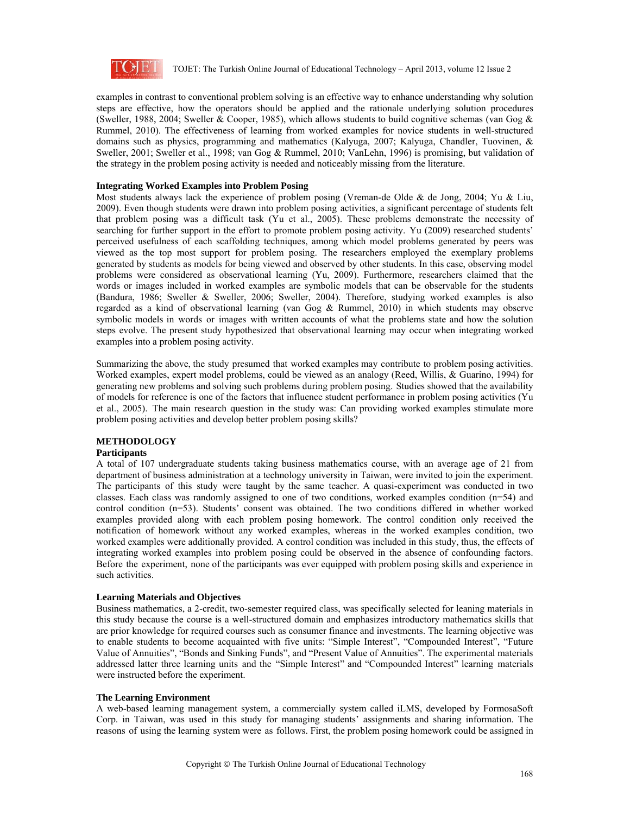

examples in contrast to conventional problem solving is an effective way to enhance understanding why solution steps are effective, how the operators should be applied and the rationale underlying solution procedures (Sweller, 1988, 2004; Sweller & Cooper, 1985), which allows students to build cognitive schemas (van Gog & Rummel, 2010). The effectiveness of learning from worked examples for novice students in well-structured domains such as physics, programming and mathematics (Kalyuga, 2007; Kalyuga, Chandler, Tuovinen, & Sweller, 2001; Sweller et al., 1998; van Gog & Rummel, 2010; VanLehn, 1996) is promising, but validation of the strategy in the problem posing activity is needed and noticeably missing from the literature.

#### **Integrating Worked Examples into Problem Posing**

Most students always lack the experience of problem posing (Vreman-de Olde & de Jong, 2004; Yu & Liu, 2009). Even though students were drawn into problem posing activities, a significant percentage of students felt that problem posing was a difficult task (Yu et al., 2005). These problems demonstrate the necessity of searching for further support in the effort to promote problem posing activity. Yu (2009) researched students' perceived usefulness of each scaffolding techniques, among which model problems generated by peers was viewed as the top most support for problem posing. The researchers employed the exemplary problems generated by students as models for being viewed and observed by other students. In this case, observing model problems were considered as observational learning (Yu, 2009). Furthermore, researchers claimed that the words or images included in worked examples are symbolic models that can be observable for the students (Bandura, 1986; Sweller & Sweller, 2006; Sweller, 2004). Therefore, studying worked examples is also regarded as a kind of observational learning (van Gog & Rummel, 2010) in which students may observe symbolic models in words or images with written accounts of what the problems state and how the solution steps evolve. The present study hypothesized that observational learning may occur when integrating worked examples into a problem posing activity.

Summarizing the above, the study presumed that worked examples may contribute to problem posing activities. Worked examples, expert model problems, could be viewed as an analogy (Reed, Willis, & Guarino, 1994) for generating new problems and solving such problems during problem posing. Studies showed that the availability of models for reference is one of the factors that influence student performance in problem posing activities (Yu et al., 2005). The main research question in the study was: Can providing worked examples stimulate more problem posing activities and develop better problem posing skills?

# **METHODOLOGY**

#### **Participants**

A total of 107 undergraduate students taking business mathematics course, with an average age of 21 from department of business administration at a technology university in Taiwan, were invited to join the experiment. The participants of this study were taught by the same teacher. A quasi-experiment was conducted in two classes. Each class was randomly assigned to one of two conditions, worked examples condition (n=54) and control condition (n=53). Students' consent was obtained. The two conditions differed in whether worked examples provided along with each problem posing homework. The control condition only received the notification of homework without any worked examples, whereas in the worked examples condition, two worked examples were additionally provided. A control condition was included in this study, thus, the effects of integrating worked examples into problem posing could be observed in the absence of confounding factors. Before the experiment, none of the participants was ever equipped with problem posing skills and experience in such activities.

#### **Learning Materials and Objectives**

Business mathematics, a 2-credit, two-semester required class, was specifically selected for leaning materials in this study because the course is a well-structured domain and emphasizes introductory mathematics skills that are prior knowledge for required courses such as consumer finance and investments. The learning objective was to enable students to become acquainted with five units: "Simple Interest", "Compounded Interest", "Future Value of Annuities", "Bonds and Sinking Funds", and "Present Value of Annuities". The experimental materials addressed latter three learning units and the "Simple Interest" and "Compounded Interest" learning materials were instructed before the experiment.

#### **The Learning Environment**

A web-based learning management system, a commercially system called iLMS, developed by FormosaSoft Corp. in Taiwan, was used in this study for managing students' assignments and sharing information. The reasons of using the learning system were as follows. First, the problem posing homework could be assigned in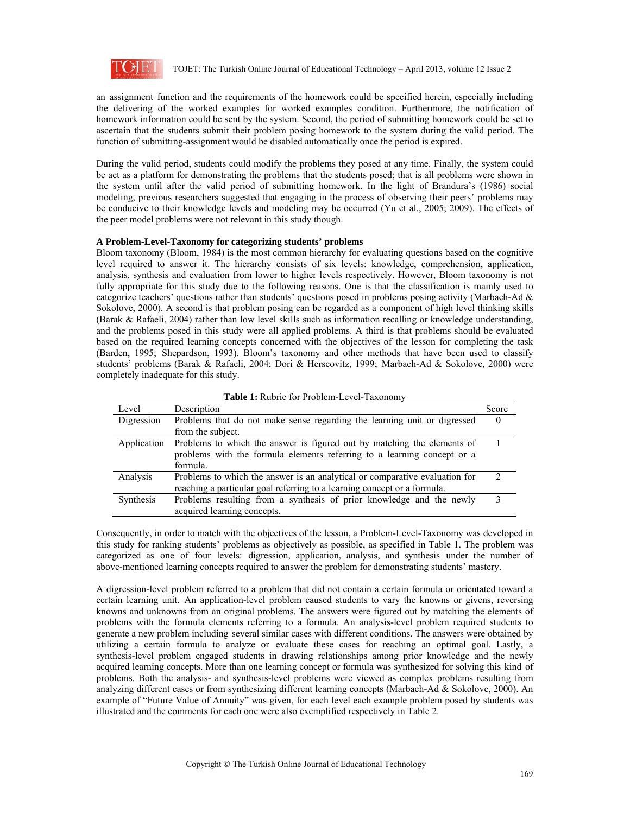

an assignment function and the requirements of the homework could be specified herein, especially including the delivering of the worked examples for worked examples condition. Furthermore, the notification of homework information could be sent by the system. Second, the period of submitting homework could be set to ascertain that the students submit their problem posing homework to the system during the valid period. The function of submitting-assignment would be disabled automatically once the period is expired.

During the valid period, students could modify the problems they posed at any time. Finally, the system could be act as a platform for demonstrating the problems that the students posed; that is all problems were shown in the system until after the valid period of submitting homework. In the light of Brandura's (1986) social modeling, previous researchers suggested that engaging in the process of observing their peers' problems may be conducive to their knowledge levels and modeling may be occurred (Yu et al., 2005; 2009). The effects of the peer model problems were not relevant in this study though.

#### **A Problem-Level-Taxonomy for categorizing students' problems**

Bloom taxonomy (Bloom, 1984) is the most common hierarchy for evaluating questions based on the cognitive level required to answer it. The hierarchy consists of six levels: knowledge, comprehension, application, analysis, synthesis and evaluation from lower to higher levels respectively. However, Bloom taxonomy is not fully appropriate for this study due to the following reasons. One is that the classification is mainly used to categorize teachers' questions rather than students' questions posed in problems posing activity (Marbach-Ad & Sokolove, 2000). A second is that problem posing can be regarded as a component of high level thinking skills (Barak & Rafaeli, 2004) rather than low level skills such as information recalling or knowledge understanding, and the problems posed in this study were all applied problems. A third is that problems should be evaluated based on the required learning concepts concerned with the objectives of the lesson for completing the task (Barden, 1995; Shepardson, 1993). Bloom's taxonomy and other methods that have been used to classify students' problems (Barak & Rafaeli, 2004; Dori & Herscovitz, 1999; Marbach-Ad & Sokolove, 2000) were completely inadequate for this study.

| <b>Table 1:</b> Rubric for Problem-Level-Taxonomy |                                                                             |              |  |  |  |  |
|---------------------------------------------------|-----------------------------------------------------------------------------|--------------|--|--|--|--|
| Level                                             | Description                                                                 | Score        |  |  |  |  |
| Digression                                        | Problems that do not make sense regarding the learning unit or digressed    | $\left($     |  |  |  |  |
|                                                   | from the subject.                                                           |              |  |  |  |  |
| Application                                       | Problems to which the answer is figured out by matching the elements of     |              |  |  |  |  |
|                                                   | problems with the formula elements referring to a learning concept or a     |              |  |  |  |  |
|                                                   | formula.                                                                    |              |  |  |  |  |
| Analysis                                          | Problems to which the answer is an analytical or comparative evaluation for |              |  |  |  |  |
|                                                   | reaching a particular goal referring to a learning concept or a formula.    |              |  |  |  |  |
| Synthesis                                         | Problems resulting from a synthesis of prior knowledge and the newly        | $\mathbf{3}$ |  |  |  |  |
|                                                   | acquired learning concepts.                                                 |              |  |  |  |  |

**Table 1: <u>Dubric for Droblem-Level</u>** T

Consequently, in order to match with the objectives of the lesson, a Problem-Level-Taxonomy was developed in this study for ranking students' problems as objectively as possible, as specified in Table 1. The problem was categorized as one of four levels: digression, application, analysis, and synthesis under the number of above-mentioned learning concepts required to answer the problem for demonstrating students' mastery.

A digression-level problem referred to a problem that did not contain a certain formula or orientated toward a certain learning unit. An application-level problem caused students to vary the knowns or givens, reversing knowns and unknowns from an original problems. The answers were figured out by matching the elements of problems with the formula elements referring to a formula. An analysis-level problem required students to generate a new problem including several similar cases with different conditions. The answers were obtained by utilizing a certain formula to analyze or evaluate these cases for reaching an optimal goal. Lastly, a synthesis-level problem engaged students in drawing relationships among prior knowledge and the newly acquired learning concepts. More than one learning concept or formula was synthesized for solving this kind of problems. Both the analysis- and synthesis-level problems were viewed as complex problems resulting from analyzing different cases or from synthesizing different learning concepts (Marbach-Ad & Sokolove, 2000). An example of "Future Value of Annuity" was given, for each level each example problem posed by students was illustrated and the comments for each one were also exemplified respectively in Table 2.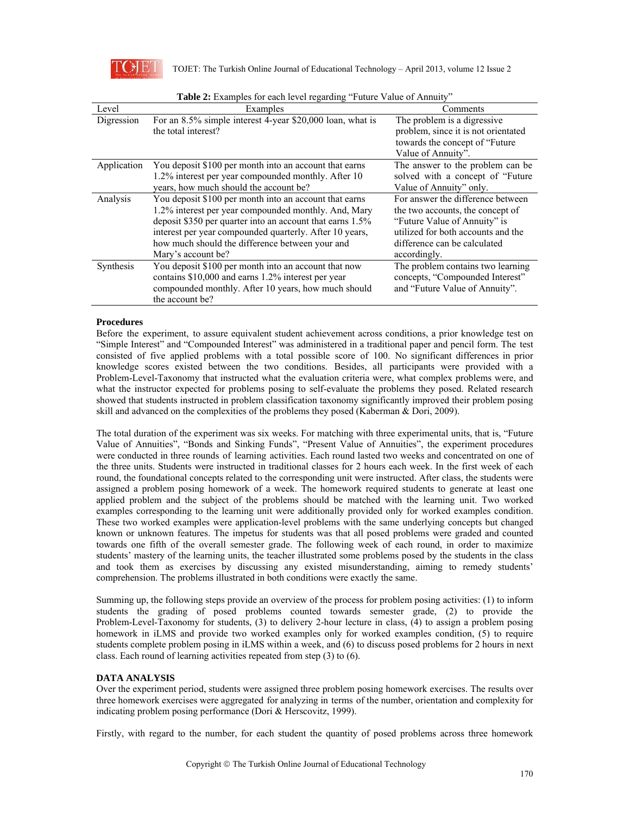

| <b>Table 2:</b> Examples for each level regarding Truttle Value of Allinuity |                                                           |                                     |  |  |  |  |  |
|------------------------------------------------------------------------------|-----------------------------------------------------------|-------------------------------------|--|--|--|--|--|
| Level                                                                        | Examples                                                  | Comments                            |  |  |  |  |  |
| Digression                                                                   | For an 8.5% simple interest 4-year \$20,000 loan, what is | The problem is a digressive         |  |  |  |  |  |
|                                                                              | the total interest?                                       | problem, since it is not orientated |  |  |  |  |  |
|                                                                              |                                                           | towards the concept of "Future      |  |  |  |  |  |
|                                                                              |                                                           | Value of Annuity".                  |  |  |  |  |  |
| Application                                                                  | You deposit \$100 per month into an account that earns    | The answer to the problem can be    |  |  |  |  |  |
|                                                                              | 1.2% interest per year compounded monthly. After 10       | solved with a concept of "Future"   |  |  |  |  |  |
|                                                                              | years, how much should the account be?                    | Value of Annuity" only.             |  |  |  |  |  |
| Analysis                                                                     | You deposit \$100 per month into an account that earns    | For answer the difference between   |  |  |  |  |  |
|                                                                              | 1.2% interest per year compounded monthly. And, Mary      | the two accounts, the concept of    |  |  |  |  |  |
|                                                                              | deposit \$350 per quarter into an account that earns 1.5% | "Future Value of Annuity" is        |  |  |  |  |  |
|                                                                              | interest per year compounded quarterly. After 10 years,   | utilized for both accounts and the  |  |  |  |  |  |
|                                                                              | how much should the difference between your and           | difference can be calculated        |  |  |  |  |  |
|                                                                              | Mary's account be?                                        | accordingly.                        |  |  |  |  |  |
| Synthesis                                                                    | You deposit \$100 per month into an account that now      | The problem contains two learning   |  |  |  |  |  |
|                                                                              | contains \$10,000 and earns 1.2% interest per year        | concepts, "Compounded Interest"     |  |  |  |  |  |
|                                                                              | compounded monthly. After 10 years, how much should       | and "Future Value of Annuity".      |  |  |  |  |  |
|                                                                              | the account be?                                           |                                     |  |  |  |  |  |

| Table 2: Examples for each level regarding "Future Value of Annuity" |  |
|----------------------------------------------------------------------|--|
|----------------------------------------------------------------------|--|

# **Procedures**

Before the experiment, to assure equivalent student achievement across conditions, a prior knowledge test on "Simple Interest" and "Compounded Interest" was administered in a traditional paper and pencil form. The test consisted of five applied problems with a total possible score of 100. No significant differences in prior knowledge scores existed between the two conditions. Besides, all participants were provided with a Problem-Level-Taxonomy that instructed what the evaluation criteria were, what complex problems were, and what the instructor expected for problems posing to self-evaluate the problems they posed. Related research showed that students instructed in problem classification taxonomy significantly improved their problem posing skill and advanced on the complexities of the problems they posed (Kaberman & Dori, 2009).

The total duration of the experiment was six weeks. For matching with three experimental units, that is, "Future Value of Annuities", "Bonds and Sinking Funds", "Present Value of Annuities", the experiment procedures were conducted in three rounds of learning activities. Each round lasted two weeks and concentrated on one of the three units. Students were instructed in traditional classes for 2 hours each week. In the first week of each round, the foundational concepts related to the corresponding unit were instructed. After class, the students were assigned a problem posing homework of a week. The homework required students to generate at least one applied problem and the subject of the problems should be matched with the learning unit. Two worked examples corresponding to the learning unit were additionally provided only for worked examples condition. These two worked examples were application-level problems with the same underlying concepts but changed known or unknown features. The impetus for students was that all posed problems were graded and counted towards one fifth of the overall semester grade. The following week of each round, in order to maximize students' mastery of the learning units, the teacher illustrated some problems posed by the students in the class and took them as exercises by discussing any existed misunderstanding, aiming to remedy students' comprehension. The problems illustrated in both conditions were exactly the same.

Summing up, the following steps provide an overview of the process for problem posing activities: (1) to inform students the grading of posed problems counted towards semester grade, (2) to provide the Problem-Level-Taxonomy for students, (3) to delivery 2-hour lecture in class, (4) to assign a problem posing homework in iLMS and provide two worked examples only for worked examples condition, (5) to require students complete problem posing in iLMS within a week, and (6) to discuss posed problems for 2 hours in next class. Each round of learning activities repeated from step (3) to (6).

# **DATA ANALYSIS**

Over the experiment period, students were assigned three problem posing homework exercises. The results over three homework exercises were aggregated for analyzing in terms of the number, orientation and complexity for indicating problem posing performance (Dori & Herscovitz, 1999).

Firstly, with regard to the number, for each student the quantity of posed problems across three homework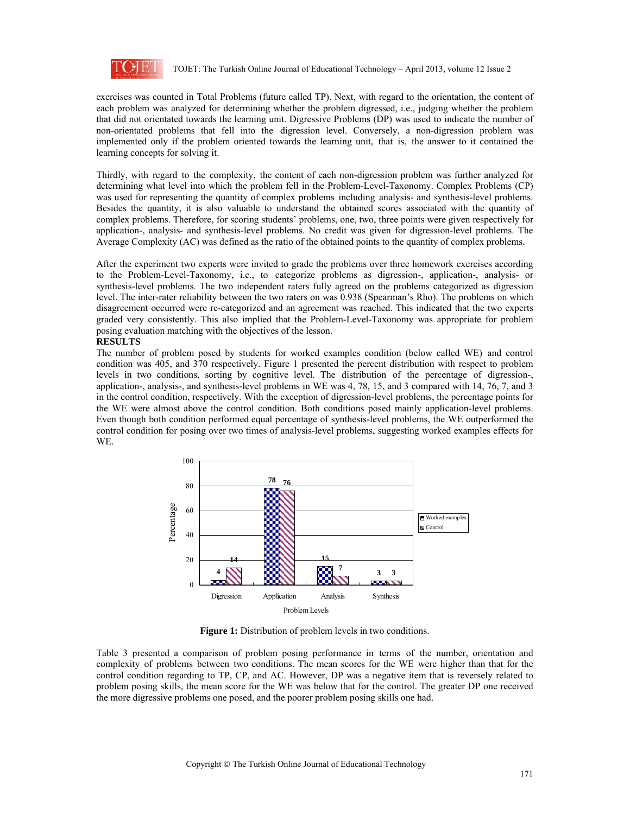

exercises was counted in Total Problems (future called TP). Next, with regard to the orientation, the content of each problem was analyzed for determining whether the problem digressed, i.e., judging whether the problem that did not orientated towards the learning unit. Digressive Problems (DP) was used to indicate the number of non-orientated problems that fell into the digression level. Conversely, a non-digression problem was implemented only if the problem oriented towards the learning unit, that is, the answer to it contained the learning concepts for solving it.

Thirdly, with regard to the complexity, the content of each non-digression problem was further analyzed for determining what level into which the problem fell in the Problem-Level-Taxonomy. Complex Problems (CP) was used for representing the quantity of complex problems including analysis- and synthesis-level problems. Besides the quantity, it is also valuable to understand the obtained scores associated with the quantity of complex problems. Therefore, for scoring students' problems, one, two, three points were given respectively for application-, analysis- and synthesis-level problems. No credit was given for digression-level problems. The Average Complexity (AC) was defined as the ratio of the obtained points to the quantity of complex problems.

After the experiment two experts were invited to grade the problems over three homework exercises according to the Problem-Level-Taxonomy, i.e., to categorize problems as digression-, application-, analysis- or synthesis-level problems. The two independent raters fully agreed on the problems categorized as digression level. The inter-rater reliability between the two raters on was 0.938 (Spearman's Rho). The problems on which disagreement occurred were re-categorized and an agreement was reached. This indicated that the two experts graded very consistently. This also implied that the Problem-Level-Taxonomy was appropriate for problem posing evaluation matching with the objectives of the lesson.

#### **RESULTS**

The number of problem posed by students for worked examples condition (below called WE) and control condition was 405, and 370 respectively. Figure 1 presented the percent distribution with respect to problem levels in two conditions, sorting by cognitive level. The distribution of the percentage of digression-, application-, analysis-, and synthesis-level problems in WE was 4, 78, 15, and 3 compared with 14, 76, 7, and 3 in the control condition, respectively. With the exception of digression-level problems, the percentage points for the WE were almost above the control condition. Both conditions posed mainly application-level problems. Even though both condition performed equal percentage of synthesis-level problems, the WE outperformed the control condition for posing over two times of analysis-level problems, suggesting worked examples effects for WE.



**Figure 1:** Distribution of problem levels in two conditions.

Table 3 presented a comparison of problem posing performance in terms of the number, orientation and complexity of problems between two conditions. The mean scores for the WE were higher than that for the control condition regarding to TP, CP, and AC. However, DP was a negative item that is reversely related to problem posing skills, the mean score for the WE was below that for the control. The greater DP one received the more digressive problems one posed, and the poorer problem posing skills one had.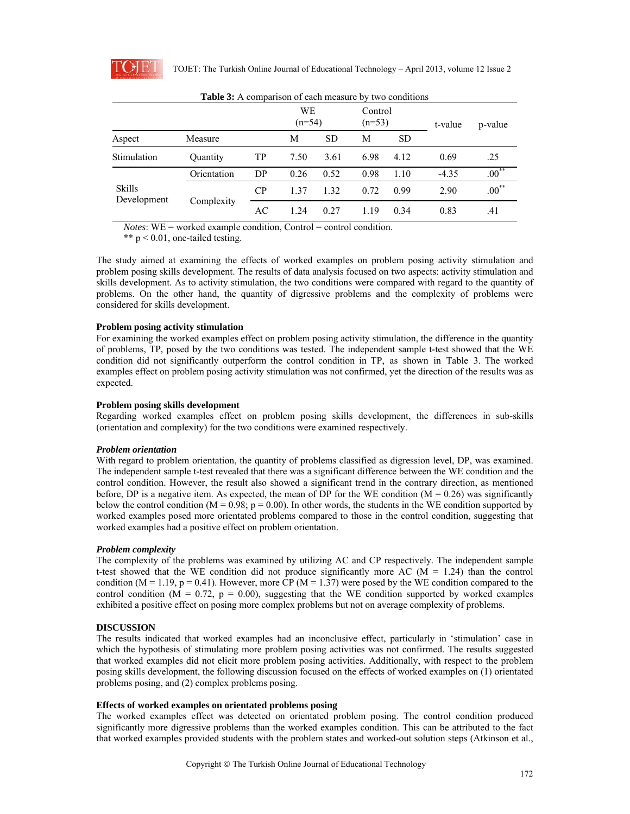

|                              |             |    | WE<br>$(n=54)$ |           | Control<br>$(n=53)$ |           | t-value | p-value    |  |  |  |
|------------------------------|-------------|----|----------------|-----------|---------------------|-----------|---------|------------|--|--|--|
| Aspect                       | Measure     |    | М              | <b>SD</b> | М                   | <b>SD</b> |         |            |  |  |  |
| Stimulation                  | Quantity    | TP | 7.50           | 3.61      | 6.98                | 4.12      | 0.69    | .25        |  |  |  |
| <b>Skills</b><br>Development | Orientation | DP | 0.26           | 0.52      | 0.98                | 1.10      | $-4.35$ | $.00***$   |  |  |  |
|                              | Complexity  | CP | 1 37           | 1.32      | 0.72                | 0.99      | 2.90    | $.00^{**}$ |  |  |  |
|                              |             | AC | 1.24           | 0.27      | 1.19                | 0.34      | 0.83    | .41        |  |  |  |

**Table 3:** A comparison of each measure by two conditions

*Notes*: WE = worked example condition, Control = control condition.

\*\*  $p < 0.01$ , one-tailed testing.

The study aimed at examining the effects of worked examples on problem posing activity stimulation and problem posing skills development. The results of data analysis focused on two aspects: activity stimulation and skills development. As to activity stimulation, the two conditions were compared with regard to the quantity of problems. On the other hand, the quantity of digressive problems and the complexity of problems were considered for skills development.

# **Problem posing activity stimulation**

For examining the worked examples effect on problem posing activity stimulation, the difference in the quantity of problems, TP, posed by the two conditions was tested. The independent sample t-test showed that the WE condition did not significantly outperform the control condition in TP, as shown in Table 3. The worked examples effect on problem posing activity stimulation was not confirmed, yet the direction of the results was as expected.

# **Problem posing skills development**

Regarding worked examples effect on problem posing skills development, the differences in sub-skills (orientation and complexity) for the two conditions were examined respectively.

# *Problem orientation*

With regard to problem orientation, the quantity of problems classified as digression level, DP, was examined. The independent sample t-test revealed that there was a significant difference between the WE condition and the control condition. However, the result also showed a significant trend in the contrary direction, as mentioned before. DP is a negative item. As expected, the mean of DP for the WE condition  $(M = 0.26)$  was significantly below the control condition ( $M = 0.98$ ;  $p = 0.00$ ). In other words, the students in the WE condition supported by worked examples posed more orientated problems compared to those in the control condition, suggesting that worked examples had a positive effect on problem orientation.

# *Problem complexity*

The complexity of the problems was examined by utilizing AC and CP respectively. The independent sample t-test showed that the WE condition did not produce significantly more AC ( $\dot{M} = 1.24$ ) than the control condition (M = 1.19, p = 0.41). However, more CP (M = 1.37) were posed by the WE condition compared to the control condition ( $M = 0.72$ ,  $p = 0.00$ ), suggesting that the WE condition supported by worked examples exhibited a positive effect on posing more complex problems but not on average complexity of problems.

# **DISCUSSION**

The results indicated that worked examples had an inconclusive effect, particularly in 'stimulation' case in which the hypothesis of stimulating more problem posing activities was not confirmed. The results suggested that worked examples did not elicit more problem posing activities. Additionally, with respect to the problem posing skills development, the following discussion focused on the effects of worked examples on (1) orientated problems posing, and (2) complex problems posing.

#### **Effects of worked examples on orientated problems posing**

The worked examples effect was detected on orientated problem posing. The control condition produced significantly more digressive problems than the worked examples condition. This can be attributed to the fact that worked examples provided students with the problem states and worked-out solution steps (Atkinson et al.,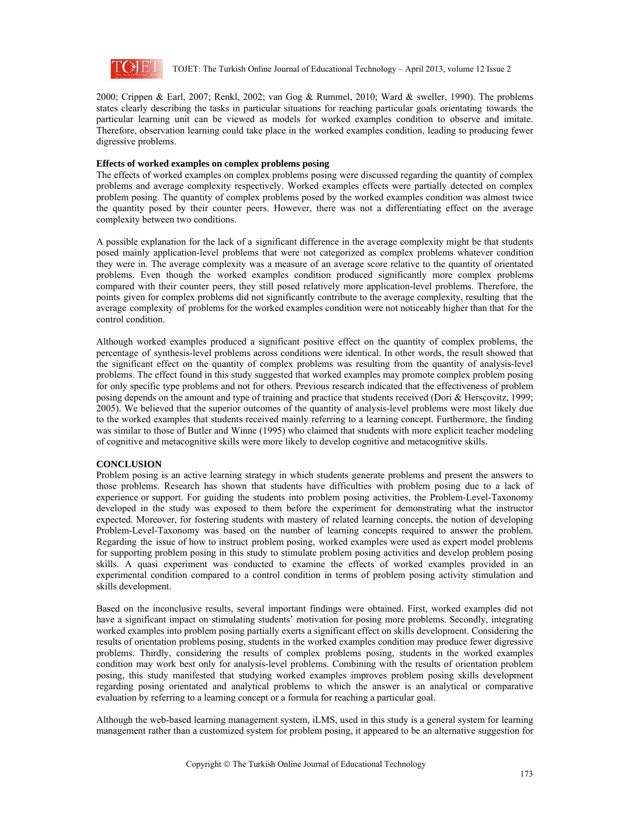

2000; Crippen & Earl, 2007; Renkl, 2002; van Gog & Rummel, 2010; Ward & sweller, 1990). The problems states clearly describing the tasks in particular situations for reaching particular goals orientating towards the particular learning unit can be viewed as models for worked examples condition to observe and imitate. Therefore, observation learning could take place in the worked examples condition, leading to producing fewer digressive problems.

#### **Effects of worked examples on complex problems posing**

The effects of worked examples on complex problems posing were discussed regarding the quantity of complex problems and average complexity respectively. Worked examples effects were partially detected on complex problem posing. The quantity of complex problems posed by the worked examples condition was almost twice the quantity posed by their counter peers. However, there was not a differentiating effect on the average complexity between two conditions.

A possible explanation for the lack of a significant difference in the average complexity might be that students posed mainly application-level problems that were not categorized as complex problems whatever condition they were in. The average complexity was a measure of an average score relative to the quantity of orientated problems. Even though the worked examples condition produced significantly more complex problems compared with their counter peers, they still posed relatively more application-level problems. Therefore, the points given for complex problems did not significantly contribute to the average complexity, resulting that the average complexity of problems for the worked examples condition were not noticeably higher than that for the control condition.

Although worked examples produced a significant positive effect on the quantity of complex problems, the percentage of synthesis-level problems across conditions were identical. In other words, the result showed that the significant effect on the quantity of complex problems was resulting from the quantity of analysis-level problems. The effect found in this study suggested that worked examples may promote complex problem posing for only specific type problems and not for others. Previous research indicated that the effectiveness of problem posing depends on the amount and type of training and practice that students received (Dori & Herscovitz, 1999; 2005). We believed that the superior outcomes of the quantity of analysis-level problems were most likely due to the worked examples that students received mainly referring to a learning concept. Furthermore, the finding was similar to those of Butler and Winne (1995) who claimed that students with more explicit teacher modeling of cognitive and metacognitive skills were more likely to develop cognitive and metacognitive skills.

# **CONCLUSION**

Problem posing is an active learning strategy in which students generate problems and present the answers to those problems. Research has shown that students have difficulties with problem posing due to a lack of experience or support. For guiding the students into problem posing activities, the Problem-Level-Taxonomy developed in the study was exposed to them before the experiment for demonstrating what the instructor expected. Moreover, for fostering students with mastery of related learning concepts, the notion of developing Problem-Level-Taxonomy was based on the number of learning concepts required to answer the problem. Regarding the issue of how to instruct problem posing, worked examples were used as expert model problems for supporting problem posing in this study to stimulate problem posing activities and develop problem posing skills. A quasi experiment was conducted to examine the effects of worked examples provided in an experimental condition compared to a control condition in terms of problem posing activity stimulation and skills development.

Based on the inconclusive results, several important findings were obtained. First, worked examples did not have a significant impact on stimulating students' motivation for posing more problems. Secondly, integrating worked examples into problem posing partially exerts a significant effect on skills development. Considering the results of orientation problems posing, students in the worked examples condition may produce fewer digressive problems. Thirdly, considering the results of complex problems posing, students in the worked examples condition may work best only for analysis-level problems. Combining with the results of orientation problem posing, this study manifested that studying worked examples improves problem posing skills development regarding posing orientated and analytical problems to which the answer is an analytical or comparative evaluation by referring to a learning concept or a formula for reaching a particular goal.

Although the web-based learning management system, iLMS, used in this study is a general system for learning management rather than a customized system for problem posing, it appeared to be an alternative suggestion for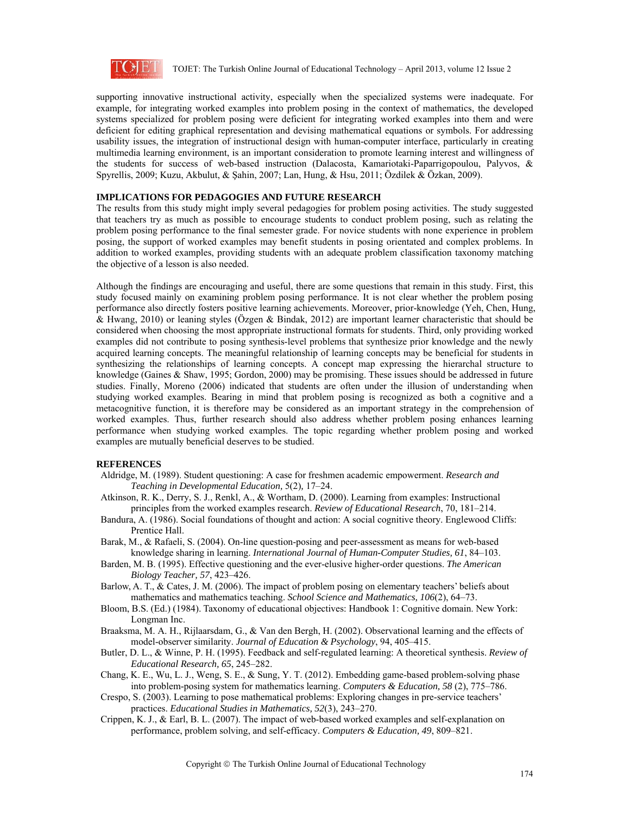

supporting innovative instructional activity, especially when the specialized systems were inadequate. For example, for integrating worked examples into problem posing in the context of mathematics, the developed systems specialized for problem posing were deficient for integrating worked examples into them and were deficient for editing graphical representation and devising mathematical equations or symbols. For addressing usability issues, the integration of instructional design with human-computer interface, particularly in creating multimedia learning environment, is an important consideration to promote learning interest and willingness of the students for success of web-based instruction (Dalacosta, Kamariotaki-Paparrigopoulou, Palyvos, & Spyrellis, 2009; Kuzu, Akbulut, & Şahin, 2007; Lan, Hung, & Hsu, 2011; Özdilek & Özkan, 2009).

# **IMPLICATIONS FOR PEDAGOGIES AND FUTURE RESEARCH**

The results from this study might imply several pedagogies for problem posing activities. The study suggested that teachers try as much as possible to encourage students to conduct problem posing, such as relating the problem posing performance to the final semester grade. For novice students with none experience in problem posing, the support of worked examples may benefit students in posing orientated and complex problems. In addition to worked examples, providing students with an adequate problem classification taxonomy matching the objective of a lesson is also needed.

Although the findings are encouraging and useful, there are some questions that remain in this study. First, this study focused mainly on examining problem posing performance. It is not clear whether the problem posing performance also directly fosters positive learning achievements. Moreover, prior-knowledge (Yeh, Chen, Hung, & Hwang, 2010) or leaning styles (Özgen & Bindak, 2012) are important learner characteristic that should be considered when choosing the most appropriate instructional formats for students. Third, only providing worked examples did not contribute to posing synthesis-level problems that synthesize prior knowledge and the newly acquired learning concepts. The meaningful relationship of learning concepts may be beneficial for students in synthesizing the relationships of learning concepts. A concept map expressing the hierarchal structure to knowledge (Gaines & Shaw, 1995; Gordon, 2000) may be promising. These issues should be addressed in future studies. Finally, Moreno (2006) indicated that students are often under the illusion of understanding when studying worked examples. Bearing in mind that problem posing is recognized as both a cognitive and a metacognitive function, it is therefore may be considered as an important strategy in the comprehension of worked examples. Thus, further research should also address whether problem posing enhances learning performance when studying worked examples. The topic regarding whether problem posing and worked examples are mutually beneficial deserves to be studied.

#### **REFERENCES**

- Aldridge, M. (1989). Student questioning: A case for freshmen academic empowerment. *Research and Teaching in Developmental Education,* 5(2)*,* 17–24.
- Atkinson, R. K., Derry, S. J., Renkl, A., & Wortham, D. (2000). Learning from examples: Instructional principles from the worked examples research. *Review of Educational Research*, 70, 181–214.
- Bandura, A. (1986). Social foundations of thought and action: A social cognitive theory. Englewood Cliffs: Prentice Hall.
- Barak, M., & Rafaeli, S. (2004). On-line question-posing and peer-assessment as means for web-based knowledge sharing in learning. *International Journal of Human-Computer Studies, 61*, 84–103.
- Barden, M. B. (1995). Effective questioning and the ever-elusive higher-order questions. *The American Biology Teacher, 57*, 423–426.
- Barlow, A. T., & Cates, J. M. (2006). The impact of problem posing on elementary teachers' beliefs about mathematics and mathematics teaching. *School Science and Mathematics, 106*(2), 64–73.
- Bloom, B.S. (Ed.) (1984). Taxonomy of educational objectives: Handbook 1: Cognitive domain. New York: Longman Inc.
- Braaksma, M. A. H., Rijlaarsdam, G., & Van den Bergh, H. (2002). Observational learning and the effects of model-observer similarity. *Journal of Education & Psychology*, 94, 405–415.
- Butler, D. L., & Winne, P. H. (1995). Feedback and self-regulated learning: A theoretical synthesis. *Review of Educational Research, 65*, 245–282.
- Chang, K. E., Wu, L. J., Weng, S. E., & Sung, Y. T. (2012). Embedding game-based problem-solving phase into problem-posing system for mathematics learning. *Computers & Education, 58* (2), 775–786.
- Crespo, S. (2003). Learning to pose mathematical problems: Exploring changes in pre-service teachers' practices. *Educational Studies in Mathematics, 52*(3), 243–270.
- Crippen, K. J., & Earl, B. L. (2007). The impact of web-based worked examples and self-explanation on performance, problem solving, and self-efficacy. *Computers & Education, 49*, 809–821.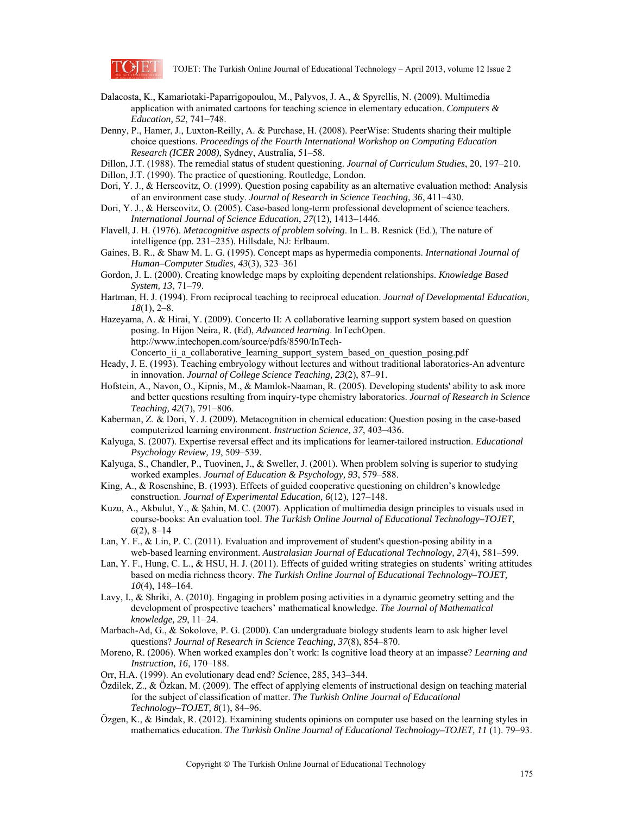

- Dalacosta, K., Kamariotaki-Paparrigopoulou, M., Palyvos, J. A., & Spyrellis, N. (2009). Multimedia application with animated cartoons for teaching science in elementary education. *Computers & Education, 52*, 741–748.
- Denny, P., Hamer, J., Luxton-Reilly, A. & Purchase, H. (2008). PeerWise: Students sharing their multiple choice questions. *Proceedings of the Fourth International Workshop on Computing Education Research (ICER 2008)*, Sydney, Australia, 51–58.
- Dillon, J.T. (1988). The remedial status of student questioning. *Journal of Curriculum Studies*, 20, 197–210.
- Dillon, J.T. (1990). The practice of questioning. Routledge, London.
- Dori, Y. J., & Herscovitz, O. (1999). Question posing capability as an alternative evaluation method: Analysis of an environment case study. *Journal of Research in Science Teaching, 36*, 411–430.
- Dori, Y. J., & Herscovitz, O. (2005). Case-based long-term professional development of science teachers. *International Journal of Science Education*, *27*(12)*,* 1413–1446.
- Flavell, J. H. (1976). *Metacognitive aspects of problem solving*. In L. B. Resnick (Ed.), The nature of intelligence (pp. 231–235). Hillsdale, NJ: Erlbaum.
- Gaines, B. R., & Shaw M. L. G. (1995). Concept maps as hypermedia components. *International Journal of Human–Computer Studies, 43*(3), 323–361
- Gordon, J. L. (2000). Creating knowledge maps by exploiting dependent relationships. *Knowledge Based System, 13*, 71–79.
- Hartman, H. J. (1994). From reciprocal teaching to reciprocal education. *Journal of Developmental Education, 18*(1), 2–8.
- Hazeyama, A. & Hirai, Y. (2009). Concerto II: A collaborative learning support system based on question posing. In Hijon Neira, R. (Ed), *Advanced learning*. InTechOpen. http://www.intechopen.com/source/pdfs/8590/InTech-Concerto ii a collaborative learning support system based on question posing.pdf
- Heady, J. E. (1993). Teaching embryology without lectures and without traditional laboratories-An adventure in innovation. *Journal of College Science Teaching, 23*(2), 87–91.
- Hofstein, A., Navon, O., Kipnis, M., & Mamlok-Naaman, R. (2005). Developing students' ability to ask more and better questions resulting from inquiry-type chemistry laboratories. *Journal of Research in Science Teaching, 42*(7), 791–806.
- Kaberman, Z. & Dori, Y. J. (2009). Metacognition in chemical education: Question posing in the case-based computerized learning environment. *Instruction Science, 37*, 403–436.
- Kalyuga, S. (2007). Expertise reversal effect and its implications for learner-tailored instruction. *Educational Psychology Review, 19*, 509–539.
- Kalyuga, S., Chandler, P., Tuovinen, J., & Sweller, J. (2001). When problem solving is superior to studying worked examples. *Journal of Education & Psychology, 93*, 579–588.
- King, A., & Rosenshine, B. (1993). Effects of guided cooperative questioning on children's knowledge construction. *Journal of Experimental Education, 6*(12), 127–148.
- Kuzu, A., Akbulut, Y., & Şahin, M. C. (2007). Application of multimedia design principles to visuals used in course-books: An evaluation tool. *The Turkish Online Journal of Educational Technology–TOJET, 6*(2), 8–14
- Lan, Y. F., & Lin, P. C. (2011). Evaluation and improvement of student's question-posing ability in a web-based learning environment. *Australasian Journal of Educational Technology, 27*(4), 581–599.
- Lan, Y. F., Hung, C. L., & HSU, H. J. (2011). Effects of guided writing strategies on students' writing attitudes based on media richness theory. *The Turkish Online Journal of Educational Technology–TOJET, 10*(4), 148–164.
- Lavy, I., & Shriki, A. (2010). Engaging in problem posing activities in a dynamic geometry setting and the development of prospective teachers' mathematical knowledge. *The Journal of Mathematical knowledge, 29*, 11–24.
- Marbach-Ad, G., & Sokolove, P. G. (2000). Can undergraduate biology students learn to ask higher level questions? *Journal of Research in Science Teaching, 37*(8), 854–870.
- Moreno, R. (2006). When worked examples don't work: Is cognitive load theory at an impasse? *Learning and Instruction, 16*, 170–188.
- Orr, H.A. (1999). An evolutionary dead end? *Scie*nce, 285, 343–344.
- Özdilek, Z., & Özkan, M. (2009). The effect of applying elements of instructional design on teaching material for the subject of classification of matter. *The Turkish Online Journal of Educational Technology–TOJET, 8*(1), 84–96.
- Özgen, K., & Bindak, R. (2012). Examining students opinions on computer use based on the learning styles in mathematics education. *The Turkish Online Journal of Educational Technology–TOJET, 11* (1). 79–93.